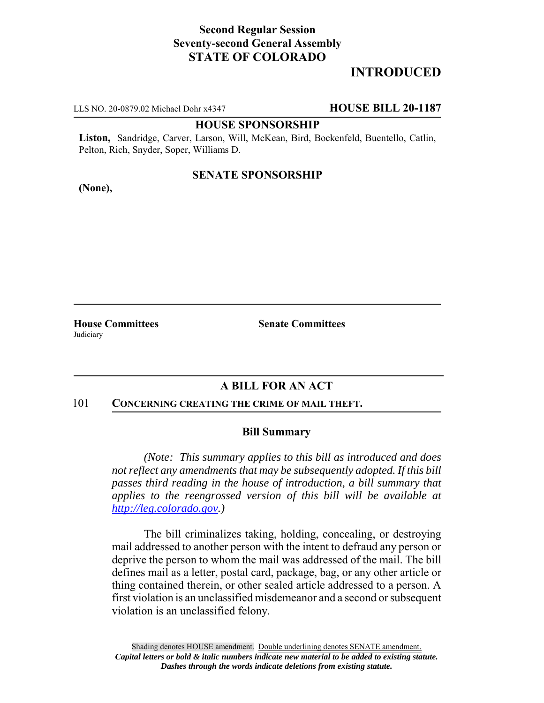## **Second Regular Session Seventy-second General Assembly STATE OF COLORADO**

# **INTRODUCED**

LLS NO. 20-0879.02 Michael Dohr x4347 **HOUSE BILL 20-1187**

#### **HOUSE SPONSORSHIP**

**Liston,** Sandridge, Carver, Larson, Will, McKean, Bird, Bockenfeld, Buentello, Catlin, Pelton, Rich, Snyder, Soper, Williams D.

#### **SENATE SPONSORSHIP**

**(None),**

**Judiciary** 

**House Committees Senate Committees** 

## **A BILL FOR AN ACT**

#### 101 **CONCERNING CREATING THE CRIME OF MAIL THEFT.**

### **Bill Summary**

*(Note: This summary applies to this bill as introduced and does not reflect any amendments that may be subsequently adopted. If this bill passes third reading in the house of introduction, a bill summary that applies to the reengrossed version of this bill will be available at http://leg.colorado.gov.)*

The bill criminalizes taking, holding, concealing, or destroying mail addressed to another person with the intent to defraud any person or deprive the person to whom the mail was addressed of the mail. The bill defines mail as a letter, postal card, package, bag, or any other article or thing contained therein, or other sealed article addressed to a person. A first violation is an unclassified misdemeanor and a second or subsequent violation is an unclassified felony.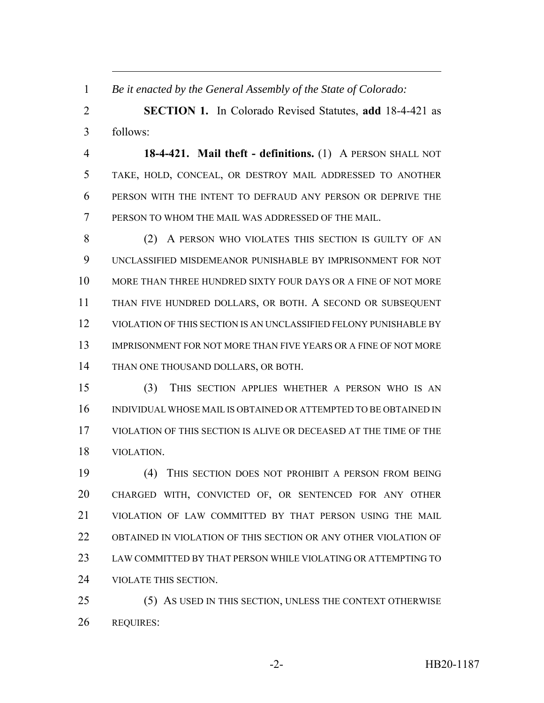*Be it enacted by the General Assembly of the State of Colorado:*

 **SECTION 1.** In Colorado Revised Statutes, **add** 18-4-421 as follows:

 **18-4-421. Mail theft - definitions.** (1) A PERSON SHALL NOT TAKE, HOLD, CONCEAL, OR DESTROY MAIL ADDRESSED TO ANOTHER PERSON WITH THE INTENT TO DEFRAUD ANY PERSON OR DEPRIVE THE PERSON TO WHOM THE MAIL WAS ADDRESSED OF THE MAIL.

8 (2) A PERSON WHO VIOLATES THIS SECTION IS GUILTY OF AN UNCLASSIFIED MISDEMEANOR PUNISHABLE BY IMPRISONMENT FOR NOT MORE THAN THREE HUNDRED SIXTY FOUR DAYS OR A FINE OF NOT MORE THAN FIVE HUNDRED DOLLARS, OR BOTH. A SECOND OR SUBSEQUENT VIOLATION OF THIS SECTION IS AN UNCLASSIFIED FELONY PUNISHABLE BY IMPRISONMENT FOR NOT MORE THAN FIVE YEARS OR A FINE OF NOT MORE THAN ONE THOUSAND DOLLARS, OR BOTH.

 (3) THIS SECTION APPLIES WHETHER A PERSON WHO IS AN INDIVIDUAL WHOSE MAIL IS OBTAINED OR ATTEMPTED TO BE OBTAINED IN VIOLATION OF THIS SECTION IS ALIVE OR DECEASED AT THE TIME OF THE VIOLATION.

 (4) THIS SECTION DOES NOT PROHIBIT A PERSON FROM BEING CHARGED WITH, CONVICTED OF, OR SENTENCED FOR ANY OTHER VIOLATION OF LAW COMMITTED BY THAT PERSON USING THE MAIL OBTAINED IN VIOLATION OF THIS SECTION OR ANY OTHER VIOLATION OF LAW COMMITTED BY THAT PERSON WHILE VIOLATING OR ATTEMPTING TO VIOLATE THIS SECTION.

 (5) AS USED IN THIS SECTION, UNLESS THE CONTEXT OTHERWISE REQUIRES: